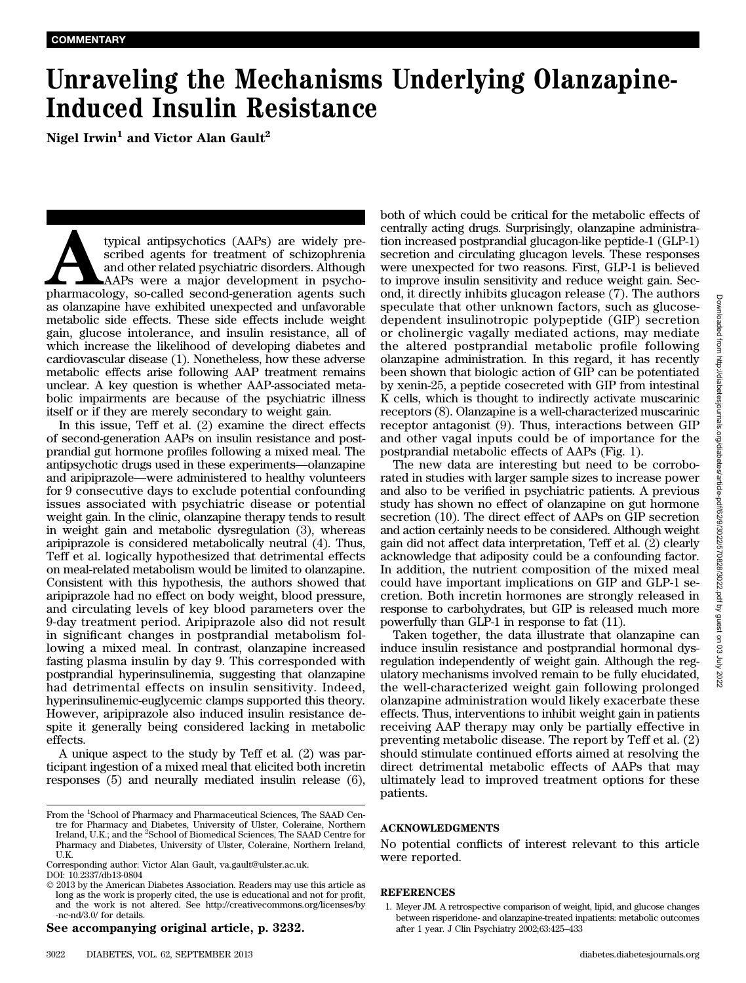## Unraveling the Mechanisms Underlying Olanzapine-Induced Insulin Resistance

Nigel Irwin<sup>1</sup> and Victor Alan Gault<sup>2</sup>

typical antipsychotics (AAPs) are widely pre-<br>scribed agents for treatment of schizophrenia<br>and other related psychiatric disorders. Although<br>AAPs were a major development in psycho-<br>pharmacology, so-called second-generati scribed agents for treatment of schizophrenia and other related psychiatric disorders. Although AAPs were a major development in psychoas olanzapine have exhibited unexpected and unfavorable metabolic side effects. These side effects include weight gain, glucose intolerance, and insulin resistance, all of which increase the likelihood of developing diabetes and cardiovascular disease (1). Nonetheless, how these adverse metabolic effects arise following AAP treatment remains unclear. A key question is whether AAP-associated metabolic impairments are because of the psychiatric illness itself or if they are merely secondary to weight gain.

In this issue, Teff et al. (2) examine the direct effects of second-generation AAPs on insulin resistance and postprandial gut hormone profiles following a mixed meal. The antipsychotic drugs used in these experiments—olanzapine and aripiprazole—were administered to healthy volunteers for 9 consecutive days to exclude potential confounding issues associated with psychiatric disease or potential weight gain. In the clinic, olanzapine therapy tends to result in weight gain and metabolic dysregulation (3), whereas aripiprazole is considered metabolically neutral (4). Thus, Teff et al. logically hypothesized that detrimental effects on meal-related metabolism would be limited to olanzapine. Consistent with this hypothesis, the authors showed that aripiprazole had no effect on body weight, blood pressure, and circulating levels of key blood parameters over the 9-day treatment period. Aripiprazole also did not result in significant changes in postprandial metabolism following a mixed meal. In contrast, olanzapine increased fasting plasma insulin by day 9. This corresponded with postprandial hyperinsulinemia, suggesting that olanzapine had detrimental effects on insulin sensitivity. Indeed, hyperinsulinemic-euglycemic clamps supported this theory. However, aripiprazole also induced insulin resistance despite it generally being considered lacking in metabolic effects.

A unique aspect to the study by Teff et al. (2) was participant ingestion of a mixed meal that elicited both incretin responses (5) and neurally mediated insulin release (6),

Corresponding author: Victor Alan Gault, [va.gault@ulster.ac.uk.](mailto:va.gault@ulster.ac.uk.) DOI: 10.2337/db13-0804

See accompanying original article, p. 3232.

both of which could be critical for the metabolic effects of centrally acting drugs. Surprisingly, olanzapine administration increased postprandial glucagon-like peptide-1 (GLP-1) secretion and circulating glucagon levels. These responses were unexpected for two reasons. First, GLP-1 is believed to improve insulin sensitivity and reduce weight gain. Second, it directly inhibits glucagon release (7). The authors speculate that other unknown factors, such as glucosedependent insulinotropic polypeptide (GIP) secretion or cholinergic vagally mediated actions, may mediate the altered postprandial metabolic profile following olanzapine administration. In this regard, it has recently been shown that biologic action of GIP can be potentiated by xenin-25, a peptide cosecreted with GIP from intestinal K cells, which is thought to indirectly activate muscarinic receptors (8). Olanzapine is a well-characterized muscarinic receptor antagonist (9). Thus, interactions between GIP and other vagal inputs could be of importance for the postprandial metabolic effects of AAPs (Fig. 1).

The new data are interesting but need to be corroborated in studies with larger sample sizes to increase power and also to be verified in psychiatric patients. A previous study has shown no effect of olanzapine on gut hormone secretion (10). The direct effect of AAPs on GIP secretion and action certainly needs to be considered. Although weight gain did not affect data interpretation, Teff et al. (2) clearly acknowledge that adiposity could be a confounding factor. In addition, the nutrient composition of the mixed meal could have important implications on GIP and GLP-1 secretion. Both incretin hormones are strongly released in response to carbohydrates, but GIP is released much more powerfully than GLP-1 in response to fat (11).

Taken together, the data illustrate that olanzapine can induce insulin resistance and postprandial hormonal dysregulation independently of weight gain. Although the regulatory mechanisms involved remain to be fully elucidated, the well-characterized weight gain following prolonged olanzapine administration would likely exacerbate these effects. Thus, interventions to inhibit weight gain in patients receiving AAP therapy may only be partially effective in preventing metabolic disease. The report by Teff et al. (2) should stimulate continued efforts aimed at resolving the direct detrimental metabolic effects of AAPs that may ultimately lead to improved treatment options for these patients.

## ACKNOWLEDGMENTS

No potential conflicts of interest relevant to this article were reported.

## REFERENCES

From the <sup>1</sup>School of Pharmacy and Pharmaceutical Sciences, The SAAD Centre for Pharmacy and Diabetes, University of Ulster, Coleraine, Northern Ireland, U.K.; and the <sup>2</sup>School of Biomedical Sciences, The SAAD Centre for Pharmacy and Diabetes, University of Ulster, Coleraine, Northern Ireland, U.K.

2013 by the American Diabetes Association. Readers may use this article as long as the work is properly cited, the use is educational and not for profit, and the work is not altered. See [http://creativecommons.org/licenses/by](http://creativecommons.org/licenses/by-nc-nd/3.0/) [-nc-nd/3.0/](http://creativecommons.org/licenses/by-nc-nd/3.0/) for details.

<sup>1.</sup> Meyer JM. A retrospective comparison of weight, lipid, and glucose changes between risperidone- and olanzapine-treated inpatients: metabolic outcomes after 1 year. J Clin Psychiatry 2002;63:425–433